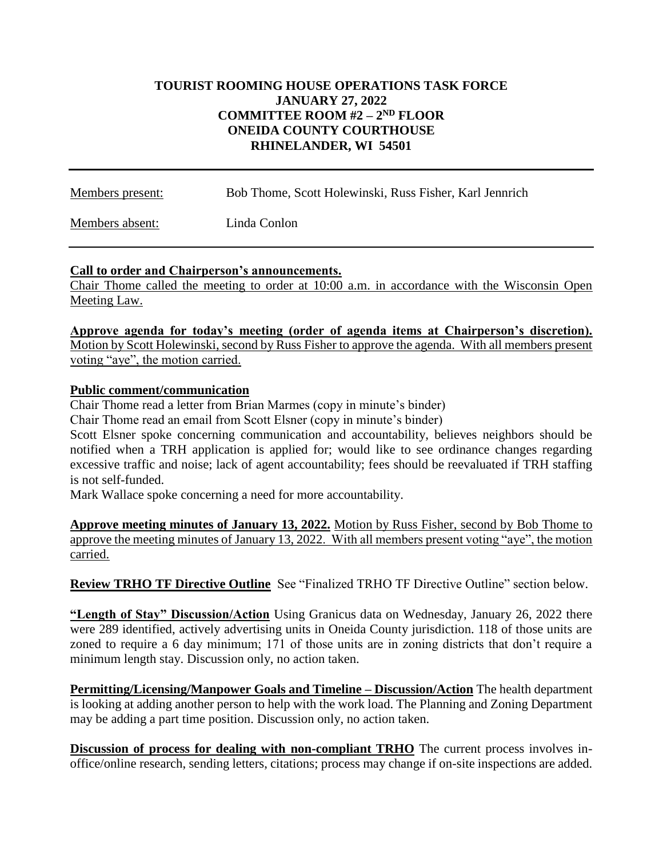### **TOURIST ROOMING HOUSE OPERATIONS TASK FORCE JANUARY 27, 2022 COMMITTEE ROOM #2 – 2 ND FLOOR ONEIDA COUNTY COURTHOUSE RHINELANDER, WI 54501**

| Members present: | Bob Thome, Scott Holewinski, Russ Fisher, Karl Jennrich |
|------------------|---------------------------------------------------------|
| Members absent:  | Linda Conlon                                            |

### **Call to order and Chairperson's announcements.**

Chair Thome called the meeting to order at 10:00 a.m. in accordance with the Wisconsin Open Meeting Law.

**Approve agenda for today's meeting (order of agenda items at Chairperson's discretion).** Motion by Scott Holewinski, second by Russ Fisher to approve the agenda. With all members present voting "aye", the motion carried.

### **Public comment/communication**

Chair Thome read a letter from Brian Marmes (copy in minute's binder)

Chair Thome read an email from Scott Elsner (copy in minute's binder)

Scott Elsner spoke concerning communication and accountability, believes neighbors should be notified when a TRH application is applied for; would like to see ordinance changes regarding excessive traffic and noise; lack of agent accountability; fees should be reevaluated if TRH staffing is not self-funded.

Mark Wallace spoke concerning a need for more accountability.

**Approve meeting minutes of January 13, 2022.** Motion by Russ Fisher, second by Bob Thome to approve the meeting minutes of January 13, 2022. With all members present voting "aye", the motion carried.

**Review TRHO TF Directive Outline** See "Finalized TRHO TF Directive Outline" section below.

**"Length of Stay" Discussion/Action** Using Granicus data on Wednesday, January 26, 2022 there were 289 identified, actively advertising units in Oneida County jurisdiction. 118 of those units are zoned to require a 6 day minimum; 171 of those units are in zoning districts that don't require a minimum length stay. Discussion only, no action taken.

**Permitting/Licensing/Manpower Goals and Timeline – Discussion/Action** The health department is looking at adding another person to help with the work load. The Planning and Zoning Department may be adding a part time position. Discussion only, no action taken.

**Discussion of process for dealing with non-compliant TRHO** The current process involves inoffice/online research, sending letters, citations; process may change if on-site inspections are added.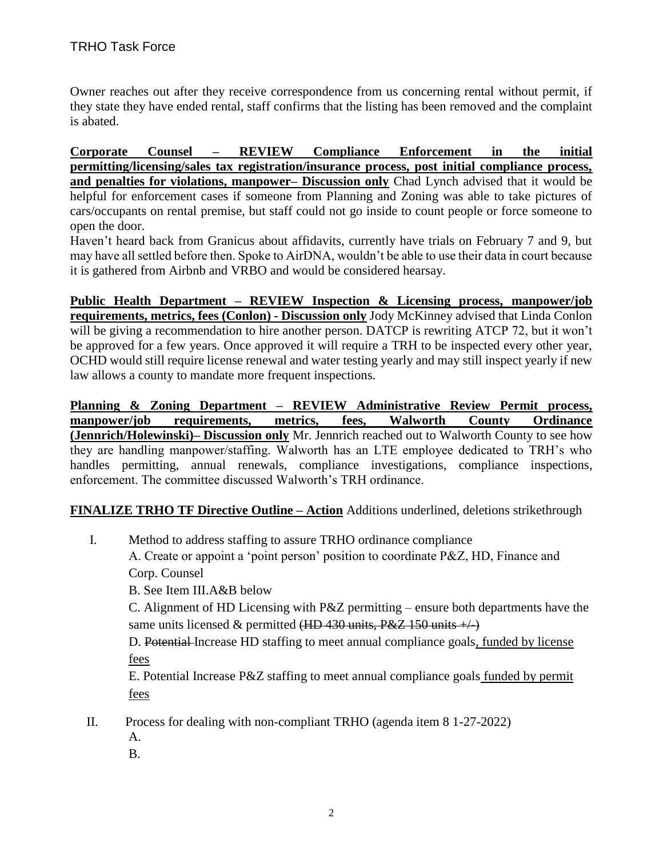Owner reaches out after they receive correspondence from us concerning rental without permit, if they state they have ended rental, staff confirms that the listing has been removed and the complaint is abated.

**Corporate Counsel – REVIEW Compliance Enforcement in the initial permitting/licensing/sales tax registration/insurance process, post initial compliance process, and penalties for violations, manpower– Discussion only** Chad Lynch advised that it would be helpful for enforcement cases if someone from Planning and Zoning was able to take pictures of cars/occupants on rental premise, but staff could not go inside to count people or force someone to open the door.

Haven't heard back from Granicus about affidavits, currently have trials on February 7 and 9, but may have all settled before then. Spoke to AirDNA, wouldn't be able to use their data in court because it is gathered from Airbnb and VRBO and would be considered hearsay.

**Public Health Department – REVIEW Inspection & Licensing process, manpower/job requirements, metrics, fees (Conlon) - Discussion only** Jody McKinney advised that Linda Conlon will be giving a recommendation to hire another person. DATCP is rewriting ATCP 72, but it won't be approved for a few years. Once approved it will require a TRH to be inspected every other year, OCHD would still require license renewal and water testing yearly and may still inspect yearly if new law allows a county to mandate more frequent inspections.

**Planning & Zoning Department – REVIEW Administrative Review Permit process, manpower/job requirements, metrics, fees, Walworth County Ordinance (Jennrich/Holewinski)– Discussion only** Mr. Jennrich reached out to Walworth County to see how they are handling manpower/staffing. Walworth has an LTE employee dedicated to TRH's who handles permitting, annual renewals, compliance investigations, compliance inspections, enforcement. The committee discussed Walworth's TRH ordinance.

# **FINALIZE TRHO TF Directive Outline – Action** Additions underlined, deletions strikethrough

- I. Method to address staffing to assure TRHO ordinance compliance A. Create or appoint a 'point person' position to coordinate P&Z, HD, Finance and Corp. Counsel
	- B. See Item III.A&B below

C. Alignment of HD Licensing with P&Z permitting – ensure both departments have the same units licensed & permitted  $(HD 430 \text{ units}, P&Z 150 \text{ units}$ 

D. Potential Increase HD staffing to meet annual compliance goals, funded by license fees

E. Potential Increase P&Z staffing to meet annual compliance goals funded by permit fees

II. Process for dealing with non-compliant TRHO (agenda item 8 1-27-2022)

- A.
- B.